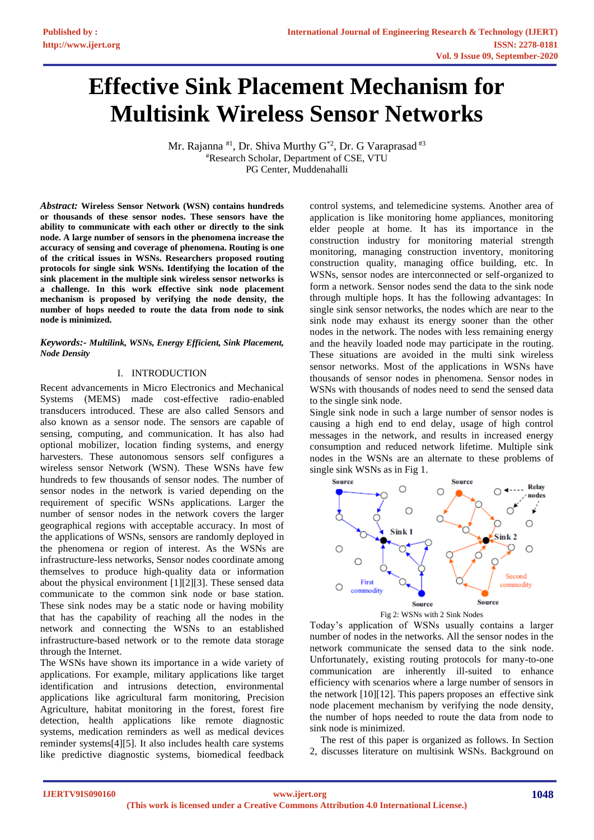# **Effective Sink Placement Mechanism for Multisink Wireless Sensor Networks**

Mr. Rajanna <sup>#1</sup>, Dr. Shiva Murthy G<sup>\*2</sup>, Dr. G Varaprasad <sup>#3</sup> #Research Scholar, Department of CSE, VTU PG Center, Muddenahalli

*Abstract:* **Wireless Sensor Network (WSN) contains hundreds or thousands of these sensor nodes. These sensors have the ability to communicate with each other or directly to the sink node. A large number of sensors in the phenomena increase the accuracy of sensing and coverage of phenomena. Routing is one of the critical issues in WSNs. Researchers proposed routing protocols for single sink WSNs. Identifying the location of the sink placement in the multiple sink wireless sensor networks is a challenge. In this work effective sink node placement mechanism is proposed by verifying the node density, the number of hops needed to route the data from node to sink node is minimized.**

#### *Keywords:- Multilink, WSNs, Energy Efficient, Sink Placement, Node Density*

#### I. INTRODUCTION

Recent advancements in Micro Electronics and Mechanical Systems (MEMS) made cost-effective radio-enabled transducers introduced. These are also called Sensors and also known as a sensor node. The sensors are capable of sensing, computing, and communication. It has also had optional mobilizer, location finding systems, and energy harvesters. These autonomous sensors self configures a wireless sensor Network (WSN). These WSNs have few hundreds to few thousands of sensor nodes. The number of sensor nodes in the network is varied depending on the requirement of specific WSNs applications. Larger the number of sensor nodes in the network covers the larger geographical regions with acceptable accuracy. In most of the applications of WSNs, sensors are randomly deployed in the phenomena or region of interest. As the WSNs are infrastructure-less networks, Sensor nodes coordinate among themselves to produce high-quality data or information about the physical environment [1][2][3]. These sensed data communicate to the common sink node or base station. These sink nodes may be a static node or having mobility that has the capability of reaching all the nodes in the network and connecting the WSNs to an established infrastructure-based network or to the remote data storage through the Internet.

The WSNs have shown its importance in a wide variety of applications. For example, military applications like target identification and intrusions detection, environmental applications like agricultural farm monitoring, Precision Agriculture, habitat monitoring in the forest, forest fire detection, health applications like remote diagnostic systems, medication reminders as well as medical devices reminder systems[4][5]. It also includes health care systems like predictive diagnostic systems, biomedical feedback

control systems, and telemedicine systems. Another area of application is like monitoring home appliances, monitoring elder people at home. It has its importance in the construction industry for monitoring material strength monitoring, managing construction inventory, monitoring construction quality, managing office building, etc. In WSNs, sensor nodes are interconnected or self-organized to form a network. Sensor nodes send the data to the sink node through multiple hops. It has the following advantages: In single sink sensor networks, the nodes which are near to the sink node may exhaust its energy sooner than the other nodes in the network. The nodes with less remaining energy and the heavily loaded node may participate in the routing. These situations are avoided in the multi sink wireless sensor networks. Most of the applications in WSNs have thousands of sensor nodes in phenomena. Sensor nodes in WSNs with thousands of nodes need to send the sensed data to the single sink node.

Single sink node in such a large number of sensor nodes is causing a high end to end delay, usage of high control messages in the network, and results in increased energy consumption and reduced network lifetime. Multiple sink nodes in the WSNs are an alternate to these problems of single sink WSNs as in Fig 1.



Today's application of WSNs usually contains a larger number of nodes in the networks. All the sensor nodes in the network communicate the sensed data to the sink node. Unfortunately, existing routing protocols for many-to-one communication are inherently ill-suited to enhance efficiency with scenarios where a large number of sensors in the network [10][12]. This papers proposes an effective sink node placement mechanism by verifying the node density, the number of hops needed to route the data from node to sink node is minimized.

The rest of this paper is organized as follows. In Section 2, discusses literature on multisink WSNs. Background on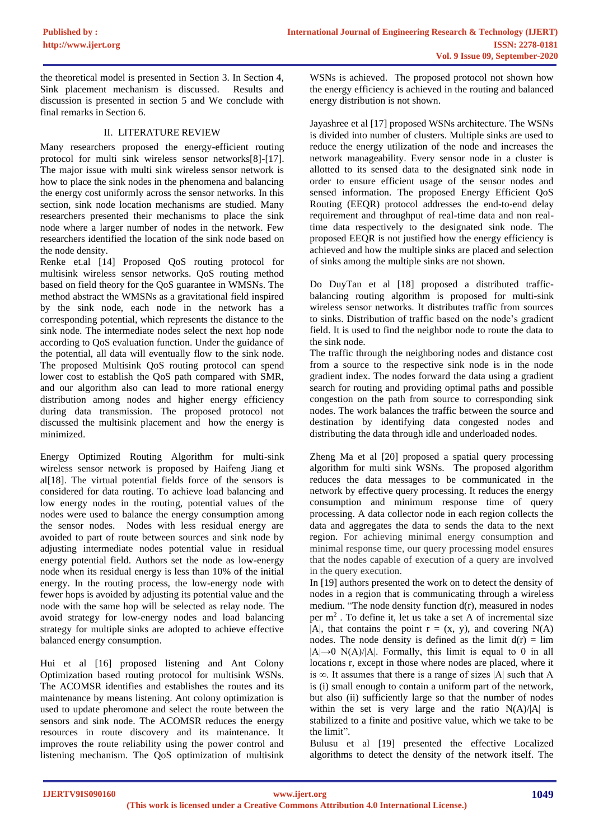the theoretical model is presented in Section 3. In Section 4, Sink placement mechanism is discussed. Results and discussion is presented in section 5 and We conclude with final remarks in Section 6.

#### II. LITERATURE REVIEW

Many researchers proposed the energy-efficient routing protocol for multi sink wireless sensor networks[8]-[17]. The major issue with multi sink wireless sensor network is how to place the sink nodes in the phenomena and balancing the energy cost uniformly across the sensor networks. In this section, sink node location mechanisms are studied. Many researchers presented their mechanisms to place the sink node where a larger number of nodes in the network. Few researchers identified the location of the sink node based on the node density.

Renke et.al [14] Proposed QoS routing protocol for multisink wireless sensor networks. QoS routing method based on field theory for the QoS guarantee in WMSNs. The method abstract the WMSNs as a gravitational field inspired by the sink node, each node in the network has a corresponding potential, which represents the distance to the sink node. The intermediate nodes select the next hop node according to QoS evaluation function. Under the guidance of the potential, all data will eventually flow to the sink node. The proposed Multisink QoS routing protocol can spend lower cost to establish the QoS path compared with SMR, and our algorithm also can lead to more rational energy distribution among nodes and higher energy efficiency during data transmission. The proposed protocol not discussed the multisink placement and how the energy is minimized.

Energy Optimized Routing Algorithm for multi-sink wireless sensor network is proposed by Haifeng Jiang et al[18]. The virtual potential fields force of the sensors is considered for data routing. To achieve load balancing and low energy nodes in the routing, potential values of the nodes were used to balance the energy consumption among the sensor nodes. Nodes with less residual energy are avoided to part of route between sources and sink node by adjusting intermediate nodes potential value in residual energy potential field. Authors set the node as low-energy node when its residual energy is less than 10% of the initial energy. In the routing process, the low-energy node with fewer hops is avoided by adjusting its potential value and the node with the same hop will be selected as relay node. The avoid strategy for low-energy nodes and load balancing strategy for multiple sinks are adopted to achieve effective balanced energy consumption.

Hui et al [16] proposed listening and Ant Colony Optimization based routing protocol for multisink WSNs. The ACOMSR identifies and establishes the routes and its maintenance by means listening. Ant colony optimization is used to update pheromone and select the route between the sensors and sink node. The ACOMSR reduces the energy resources in route discovery and its maintenance. It improves the route reliability using the power control and listening mechanism. The QoS optimization of multisink

WSNs is achieved. The proposed protocol not shown how the energy efficiency is achieved in the routing and balanced energy distribution is not shown.

Jayashree et al [17] proposed WSNs architecture. The WSNs is divided into number of clusters. Multiple sinks are used to reduce the energy utilization of the node and increases the network manageability. Every sensor node in a cluster is allotted to its sensed data to the designated sink node in order to ensure efficient usage of the sensor nodes and sensed information. The proposed Energy Efficient QoS Routing (EEQR) protocol addresses the end-to-end delay requirement and throughput of real-time data and non realtime data respectively to the designated sink node. The proposed EEQR is not justified how the energy efficiency is achieved and how the multiple sinks are placed and selection of sinks among the multiple sinks are not shown.

Do DuyTan et al [18] proposed a distributed trafficbalancing routing algorithm is proposed for multi-sink wireless sensor networks. It distributes traffic from sources to sinks. Distribution of traffic based on the node's gradient field. It is used to find the neighbor node to route the data to the sink node.

The traffic through the neighboring nodes and distance cost from a source to the respective sink node is in the node gradient index. The nodes forward the data using a gradient search for routing and providing optimal paths and possible congestion on the path from source to corresponding sink nodes. The work balances the traffic between the source and destination by identifying data congested nodes and distributing the data through idle and underloaded nodes.

Zheng Ma et al [20] proposed a spatial query processing algorithm for multi sink WSNs. The proposed algorithm reduces the data messages to be communicated in the network by effective query processing. It reduces the energy consumption and minimum response time of query processing. A data collector node in each region collects the data and aggregates the data to sends the data to the next region. For achieving minimal energy consumption and minimal response time, our query processing model ensures that the nodes capable of execution of a query are involved in the query execution.

In [19] authors presented the work on to detect the density of nodes in a region that is communicating through a wireless medium. "The node density function d(r), measured in nodes per m<sup>2</sup> . To define it, let us take a set A of incremental size  $|A|$ , that contains the point  $r = (x, y)$ , and covering N(A) nodes. The node density is defined as the limit  $d(r) = lim$  $|A| \rightarrow 0$  N(A)/|A|. Formally, this limit is equal to 0 in all locations r, except in those where nodes are placed, where it is ∞. It assumes that there is a range of sizes |A| such that A is (i) small enough to contain a uniform part of the network, but also (ii) sufficiently large so that the number of nodes within the set is very large and the ratio N(A)/|A| is stabilized to a finite and positive value, which we take to be the limit".

Bulusu et al [19] presented the effective Localized algorithms to detect the density of the network itself. The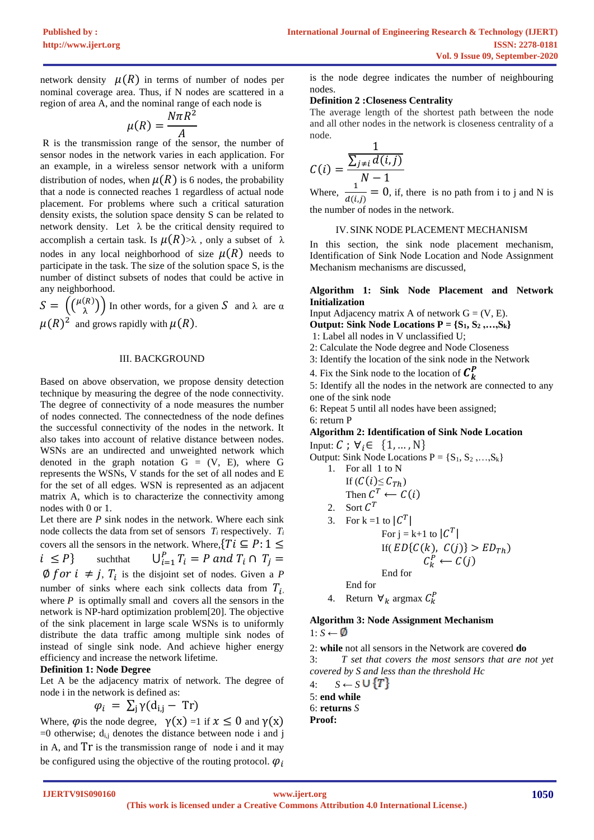network density  $\mu(R)$  in terms of number of nodes per nominal coverage area. Thus, if N nodes are scattered in a region of area A, and the nominal range of each node is

$$
\mu(R) = \frac{N\pi R^2}{A}
$$

R is the transmission range of the sensor, the number of sensor nodes in the network varies in each application. For an example, in a wireless sensor network with a uniform distribution of nodes, when  $\mu(R)$  is 6 nodes, the probability that a node is connected reaches 1 regardless of actual node placement. For problems where such a critical saturation density exists, the solution space density S can be related to network density. Let  $\lambda$  be the critical density required to accomplish a certain task. Is  $\mu(R) > \lambda$ , only a subset of  $\lambda$ nodes in any local neighborhood of size  $\mu(R)$  needs to participate in the task. The size of the solution space S, is the number of distinct subsets of nodes that could be active in any neighborhood.

 $S = \left(\begin{matrix} \mu(R) \\ \lambda \end{matrix}\right)$  $\begin{pmatrix}R\lambda\end{pmatrix}$  In other words, for a given S and  $\lambda$  are  $\alpha$  $\mu(R)^2$  and grows rapidly with  $\mu(R)$ .

#### III. BACKGROUND

Based on above observation, we propose density detection technique by measuring the degree of the node connectivity. The degree of connectivity of a node measures the number of nodes connected. The connectedness of the node defines the successful connectivity of the nodes in the network. It also takes into account of relative distance between nodes. WSNs are an undirected and unweighted network which denoted in the graph notation  $G = (V, E)$ , where G represents the WSNs, V stands for the set of all nodes and E for the set of all edges. WSN is represented as an adjacent matrix A, which is to characterize the connectivity among nodes with 0 or 1.

Let there are *P* sink nodes in the network. Where each sink node collects the data from set of sensors *T<sup>i</sup>* respectively. *T<sup>i</sup>* covers all the sensors in the network. Where,  $\{Ti \subseteq P: 1 \leq \}$  $i \leq P$ } such that  $\bigcup_{i=1}^{P} T_i = P$  and  $T_i \cap T_j =$ 

 $\emptyset$  for  $i \neq j$ ,  $T_i$  is the disjoint set of nodes. Given a P number of sinks where each sink collects data from  $T_i$ , where  $P$  is optimally small and covers all the sensors in the network is NP-hard optimization problem[20]. The objective of the sink placement in large scale WSNs is to uniformly distribute the data traffic among multiple sink nodes of instead of single sink node. And achieve higher energy efficiency and increase the network lifetime.

#### **Definition 1: Node Degree**

Let A be the adjacency matrix of network. The degree of node i in the network is defined as:

$$
\varphi_i = \sum_j \gamma(d_{i,j} - \text{Tr})
$$

Where,  $\varphi$  is the node degree,  $\gamma(x) = 1$  if  $x \le 0$  and  $\gamma(x)$  $=0$  otherwise;  $d_{i,j}$  denotes the distance between node i and j in A, and Tr is the transmission range of node i and it may be configured using the objective of the routing protocol.  $\varphi_i$  is the node degree indicates the number of neighbouring nodes.

#### **Definition 2 :Closeness Centrality**

The average length of the shortest path between the node and all other nodes in the network is closeness centrality of a node.

$$
C(i) = \frac{\sum_{j \neq i} d(i, j)}{N - 1}
$$

Where,  $\frac{1}{16}$  $\frac{1}{d(i,j)} = 0$ , if, there is no path from i to j and N is the number of nodes in the network.

#### IV.SINK NODE PLACEMENT MECHANISM

In this section, the sink node placement mechanism, Identification of Sink Node Location and Node Assignment Mechanism mechanisms are discussed,

#### **Algorithm 1: Sink Node Placement and Network Initialization**

- Input Adjacency matrix A of network  $G = (V, E)$ .
- **Output: Sink Node Locations P = {S1, S<sup>2</sup> ,…,Sk}**
- 1: Label all nodes in V unclassified U;
- 2: Calculate the Node degree and Node Closeness
- 3: Identify the location of the sink node in the Network
- 4. Fix the Sink node to the location of  $\mathcal{C}_{k}^{P}$

5: Identify all the nodes in the network are connected to any one of the sink node

6: Repeat 5 until all nodes have been assigned; 6: return P

## **Algorithm 2: Identification of Sink Node Location**

Input:  $C$ ;  $\forall i \in \{1, ..., N\}$ Output: Sink Node Locations  $P = \{S_1, S_2, ..., S_k\}$ 1. For all 1 to N If  $(C(i) \leq C_{Th})$ Then  $C^T \leftarrow C(i)$ 2. Sort  $C^T$ 3. For k = 1 to  $|C^T|$ For  $j = k+1$  to  $|C^T|$ If(  $ED{C(k), C(j)} > ED_{Th}$ )  $C_k^P \leftarrow C(j)$ End for End for 4. Return  $\forall_k$  argmax  $C_k^P$ 

### **Algorithm 3: Node Assignment Mechanism**

1: *S* ← Ø

2: **while** not all sensors in the Network are covered **do** 3: *T set that covers the most sensors that are not yet covered by S and less than the threshold Hc*

4:  $S \leftarrow S \cup \{T\}$ 5: **end while** 6: **returns** *S* **Proof:**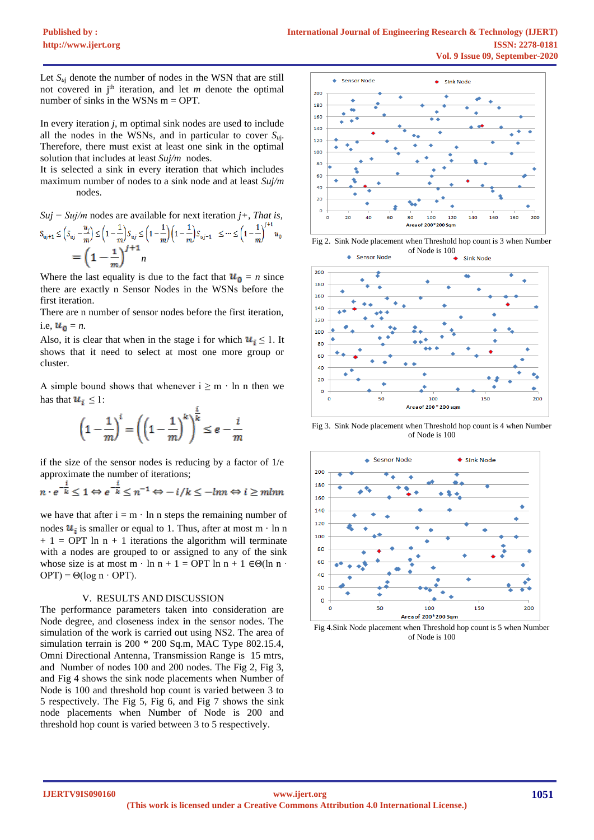Let  $S_{uj}$  denote the number of nodes in the WSN that are still not covered in j<sup>th</sup> iteration, and let *m* denote the optimal number of sinks in the WSNs  $m = OPT$ .

In every iteration *j*, m optimal sink nodes are used to include all the nodes in the WSNs, and in particular to cover *Su*j. Therefore, there must exist at least one sink in the optimal solution that includes at least *Suj/m* nodes.

It is selected a sink in every iteration that which includes maximum number of nodes to a sink node and at least *Suj/m* nodes.

*Suj − Suj/m* nodes are available for next iteration *j+, That is,*  $\mathsf{S}_{\mathsf{u}\mathsf{j}+1} \le \Big( \mathsf{S}_{\mathsf{u}\mathsf{j}} - \frac{u_j}{m} \Big) \le \Big( 1 - \frac{1}{m} \Big) \mathsf{S}_{\mathsf{u}\mathsf{j}} \le \Big( 1 - \frac{1}{m} \Big) \Big( 1 - \frac{1}{m} \Big) \mathsf{S}_{\mathsf{u}\mathsf{j}-1} \quad \le \cdots \le \Big( 1 - \frac{1}{m} \Big)^{j+1} \mathsf{u}_0$  $=\left(1-\frac{1}{m}\right)^{j+1}n$ 

Where the last equality is due to the fact that  $u_0 = n$  since there are exactly n Sensor Nodes in the WSNs before the first iteration.

There are n number of sensor nodes before the first iteration, i.e,  $u_0 = n$ .

Also, it is clear that when in the stage i for which  $u_i \leq 1$ . It shows that it need to select at most one more group or cluster.

A simple bound shows that whenever  $i \ge m \cdot \ln n$  then we has that  $u_i \leq 1$ :

$$
\left(1 - \frac{1}{m}\right)^i = \left(\left(1 - \frac{1}{m}\right)^k\right)^{\frac{1}{k}} \le e - \frac{i}{m}
$$

if the size of the sensor nodes is reducing by a factor of 1/e

approximate the number of iterations;<br> $n \cdot e^{-\frac{i}{k}} \leq 1 \Leftrightarrow e^{-\frac{i}{k}} \leq n^{-1} \Leftrightarrow -i/k \leq -\ln n \Leftrightarrow i \geq m \ln n$ 

we have that after  $i = m \cdot ln n$  steps the remaining number of nodes  $u_i$  is smaller or equal to 1. Thus, after at most m  $\cdot$  ln n  $+ 1 = OPT \ln n + 1$  iterations the algorithm will terminate with a nodes are grouped to or assigned to any of the sink whose size is at most m · ln n + 1 = OPT ln n + 1  $\in \Theta(\ln n \cdot$  $OPT$ ) =  $\Theta(\log n \cdot OPT)$ .

#### V. RESULTS AND DISCUSSION

The performance parameters taken into consideration are Node degree, and closeness index in the sensor nodes. The simulation of the work is carried out using NS2. The area of simulation terrain is 200 \* 200 Sq.m, MAC Type 802.15.4, Omni Directional Antenna, Transmission Range is 15 mtrs, and Number of nodes 100 and 200 nodes. The Fig 2, Fig 3, and Fig 4 shows the sink node placements when Number of Node is 100 and threshold hop count is varied between 3 to 5 respectively. The Fig 5, Fig 6, and Fig 7 shows the sink node placements when Number of Node is 200 and threshold hop count is varied between 3 to 5 respectively.



Fig 2. Sink Node placement when Threshold hop count is 3 when Number of Node is 100



Fig 3. Sink Node placement when Threshold hop count is 4 when Number of Node is 100



Fig 4.Sink Node placement when Threshold hop count is 5 when Number of Node is 100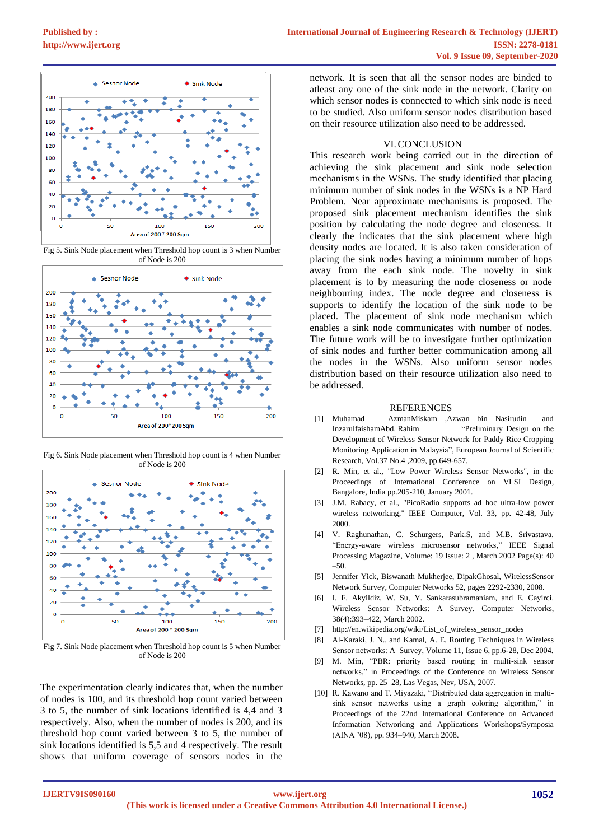

Fig 5. Sink Node placement when Threshold hop count is 3 when Number of Node is 200



Fig 6. Sink Node placement when Threshold hop count is 4 when Number of Node is 200



Fig 7. Sink Node placement when Threshold hop count is 5 when Number of Node is 200

The experimentation clearly indicates that, when the number of nodes is 100, and its threshold hop count varied between 3 to 5, the number of sink locations identified is 4,4 and 3 respectively. Also, when the number of nodes is 200, and its threshold hop count varied between 3 to 5, the number of sink locations identified is 5,5 and 4 respectively. The result shows that uniform coverage of sensors nodes in the

network. It is seen that all the sensor nodes are binded to atleast any one of the sink node in the network. Clarity on which sensor nodes is connected to which sink node is need to be studied. Also uniform sensor nodes distribution based on their resource utilization also need to be addressed.

#### VI.CONCLUSION

This research work being carried out in the direction of achieving the sink placement and sink node selection mechanisms in the WSNs. The study identified that placing minimum number of sink nodes in the WSNs is a NP Hard Problem. Near approximate mechanisms is proposed. The proposed sink placement mechanism identifies the sink position by calculating the node degree and closeness. It clearly the indicates that the sink placement where high density nodes are located. It is also taken consideration of placing the sink nodes having a minimum number of hops away from the each sink node. The novelty in sink placement is to by measuring the node closeness or node neighbouring index. The node degree and closeness is supports to identify the location of the sink node to be placed. The placement of sink node mechanism which enables a sink node communicates with number of nodes. The future work will be to investigate further optimization of sink nodes and further better communication among all the nodes in the WSNs. Also uniform sensor nodes distribution based on their resource utilization also need to be addressed.

#### **REFERENCES**

- [1] Muhamad AzmanMiskam ,Azwan bin Nasirudin and InzarulfaishamAbd. Rahim "Preliminary Design on the Development of Wireless Sensor Network for Paddy Rice Cropping Monitoring Application in Malaysia", European Journal of Scientific Research, Vol.37 No.4 ,2009, pp.649-657.
- [2] R. Min, et al., "Low Power Wireless Sensor Networks", in the Proceedings of International Conference on VLSI Design, Bangalore, India pp.205-210, January 2001.
- [3] J.M. Rabaey, et al., "PicoRadio supports ad hoc ultra-low power wireless networking," IEEE Computer, Vol. 33, pp. 42-48, July 2000.
- V. Raghunathan, C. Schurgers, Park.S, and M.B. Srivastava, "Energy-aware wireless microsensor networks," IEEE Signal Processing Magazine, Volume: 19 Issue: 2 , March 2002 Page(s): 40 –50.
- [5] Jennifer Yick, Biswanath Mukherjee, DipakGhosal, WirelessSensor Network Survey, Computer Networks 52, pages 2292-2330, 2008.
- [6] I. F. Akyildiz, W. Su, Y. Sankarasubramaniam, and E. Cayirci. Wireless Sensor Networks: A Survey. Computer Networks, 38(4):393–422, March 2002.
- http://en.wikipedia.org/wiki/List\_of\_wireless\_sensor\_nodes
- [8] Al-Karaki, J. N., and Kamal, A. E. Routing Techniques in Wireless Sensor networks: A Survey, Volume 11, Issue 6, pp.6-28, Dec 2004.
- [9] M. Min, "PBR: priority based routing in multi-sink sensor networks," in Proceedings of the Conference on Wireless Sensor Networks, pp. 25–28, Las Vegas, Nev, USA, 2007.
- [10] R. Kawano and T. Miyazaki, "Distributed data aggregation in multisink sensor networks using a graph coloring algorithm," in Proceedings of the 22nd International Conference on Advanced Information Networking and Applications Workshops/Symposia (AINA '08), pp. 934–940, March 2008.